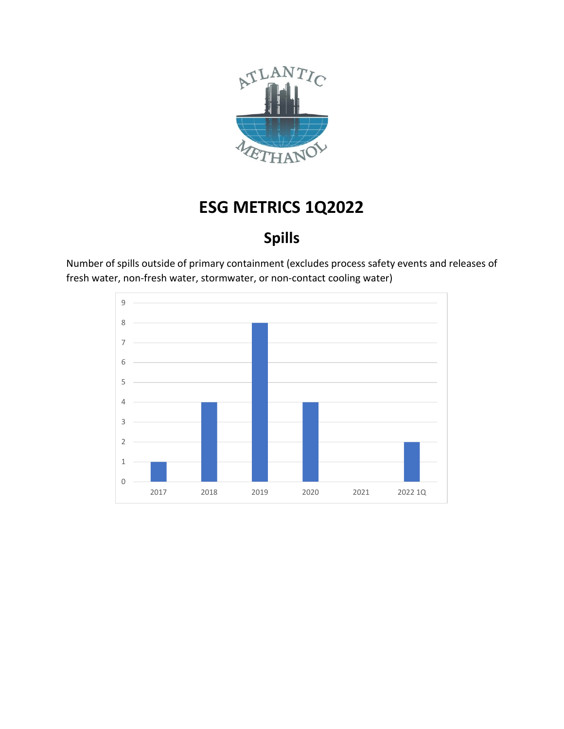

#### **Spills**

Number of spills outside of primary containment (excludes process safety events and releases of fresh water, non-fresh water, stormwater, or non-contact cooling water)

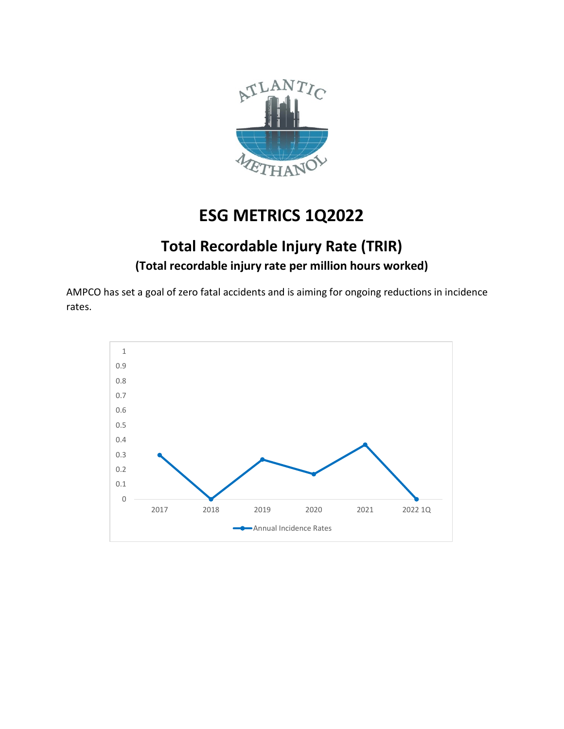

#### **Total Recordable Injury Rate (TRIR) (Total recordable injury rate per million hours worked)**

AMPCO has set a goal of zero fatal accidents and is aiming for ongoing reductions in incidence rates.

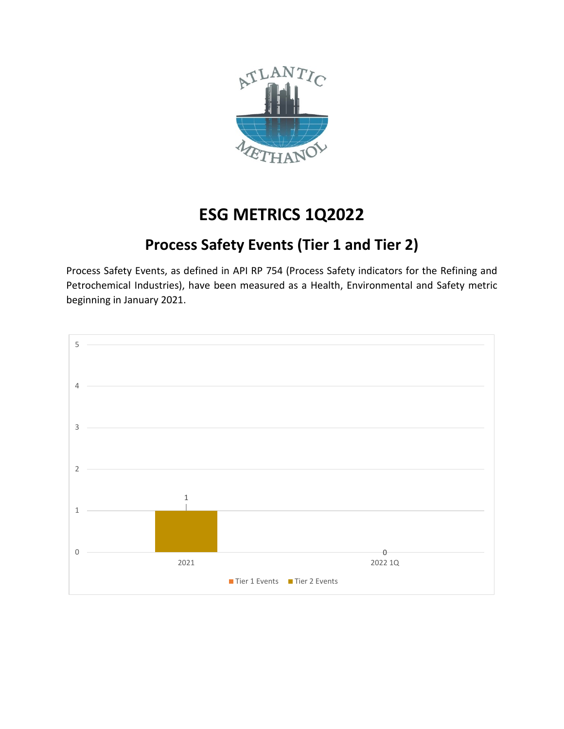

#### **Process Safety Events (Tier 1 and Tier 2)**

Process Safety Events, as defined in API RP 754 (Process Safety indicators for the Refining and Petrochemical Industries), have been measured as a Health, Environmental and Safety metric beginning in January 2021.